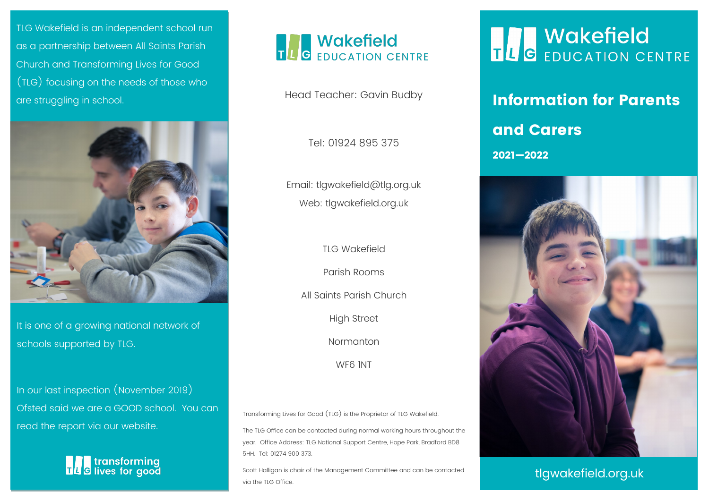TLG Wakefield is an independent school run as a partnership between All Saints Parish Church and Transforming Lives for Good (TLG) focusing on the needs of those who are struggling in school. The contract of the Head Teacher: Gavin Budby **State Information for Parents** 



It is one of a growing national network of schools supported by TLG.

In our last inspection (November 2019) Ofsted said we are a GOOD school. You can read the report via our website.





Head Teacher: Gavin Budby

Tel: 01924 895 375

Email: tlgwakefield@tlg.org.uk Web: tlgwakefield.org.uk

TLG Wakefield

Parish Rooms

All Saints Parish Church

High Street

Normanton

WF6 1NT

Transforming Lives for Good (TLG) is the Proprietor of TLG Wakefield.

The TLG Office can be contacted during normal working hours throughout the year. Office Address: TLG National Support Centre, Hope Park, Bradford BD8 5HH. Tel: 01274 900 373.

Scott Halligan is chair of the Management Committee and can be contacted via the TLG Office.

### **THE WAKEFIELD**<br>THE EDUCATION CENTRE

## and Carers

2021—2022



tlgwakefield.org.uk